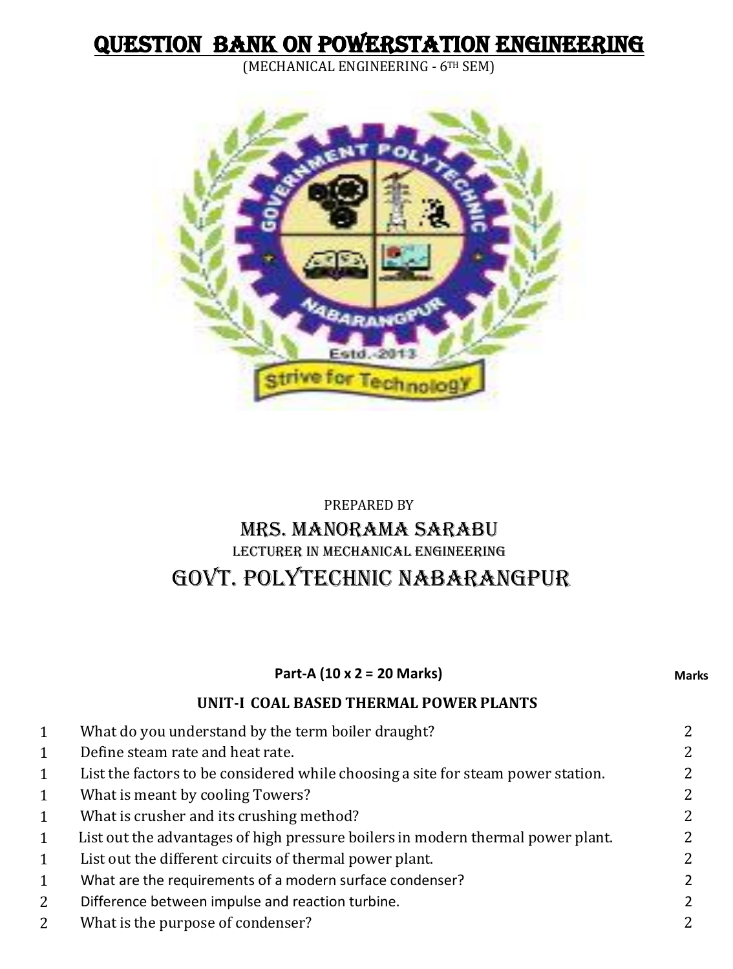# QUESTION BANK ON POWERSTATION ENGINEERING

(MECHANICAL ENGINEERING - 6TH SEM)



# PREPARED BY MRS. MANORAMA SARABU LECTURER IN MECHANICAL ENGINEERING GOVT. POLYTECHNIC NABARANGPUR

|                | Part-A (10 x 2 = 20 Marks)                                                       | Marks |
|----------------|----------------------------------------------------------------------------------|-------|
|                | UNIT-I COAL BASED THERMAL POWER PLANTS                                           |       |
| $\mathbf{1}$   | What do you understand by the term boiler draught?                               | 2     |
| $\mathbf{1}$   | Define steam rate and heat rate.                                                 |       |
| $\mathbf{1}$   | List the factors to be considered while choosing a site for steam power station. |       |
| $\mathbf{1}$   | What is meant by cooling Towers?                                                 |       |
| $\mathbf{1}$   | What is crusher and its crushing method?                                         |       |
| $\mathbf{1}$   | List out the advantages of high pressure boilers in modern thermal power plant.  |       |
| $\mathbf{1}$   | List out the different circuits of thermal power plant.                          |       |
| $\mathbf{1}$   | What are the requirements of a modern surface condenser?                         |       |
| $\overline{2}$ | Difference between impulse and reaction turbine.                                 |       |

2 What is the purpose of condenser? 2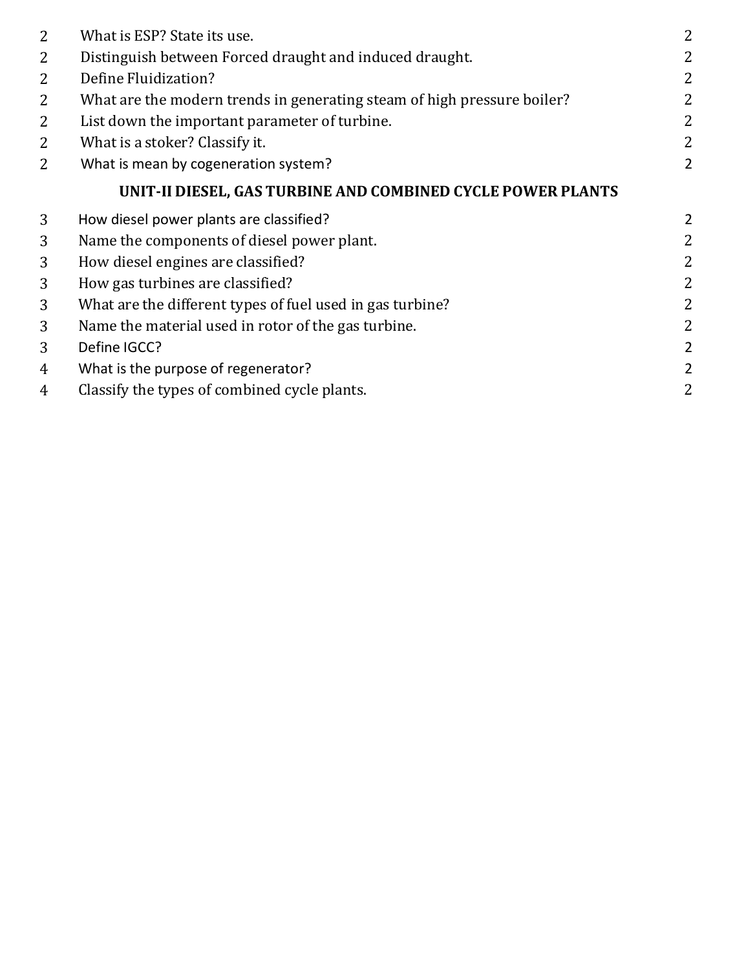| 2              | What is ESP? State its use.                                             | 2              |
|----------------|-------------------------------------------------------------------------|----------------|
| $\overline{2}$ | Distinguish between Forced draught and induced draught.                 | 2              |
| 2              | Define Fluidization?                                                    | 2              |
| 2              | What are the modern trends in generating steam of high pressure boiler? | 2              |
| $\overline{2}$ | List down the important parameter of turbine.                           | 2              |
| $\overline{2}$ | What is a stoker? Classify it.                                          | 2              |
| 2              | What is mean by cogeneration system?                                    | $\overline{2}$ |
|                | UNIT-II DIESEL, GAS TURBINE AND COMBINED CYCLE POWER PLANTS             |                |
| 3              | How diesel power plants are classified?                                 | 2              |
| 3              | Name the components of diesel power plant.                              | $\overline{2}$ |
| 3              | How diesel engines are classified?                                      | 2              |
| 3              | How gas turbines are classified?                                        | 2              |
| 3              | What are the different types of fuel used in gas turbine?               | 2              |
| 3              | Name the material used in rotor of the gas turbine.                     | 2              |
| 3              | Define IGCC?                                                            | 2              |
| 4              | What is the purpose of regenerator?                                     | $\overline{2}$ |
| 4              | Classify the types of combined cycle plants.                            | $\overline{2}$ |
|                |                                                                         |                |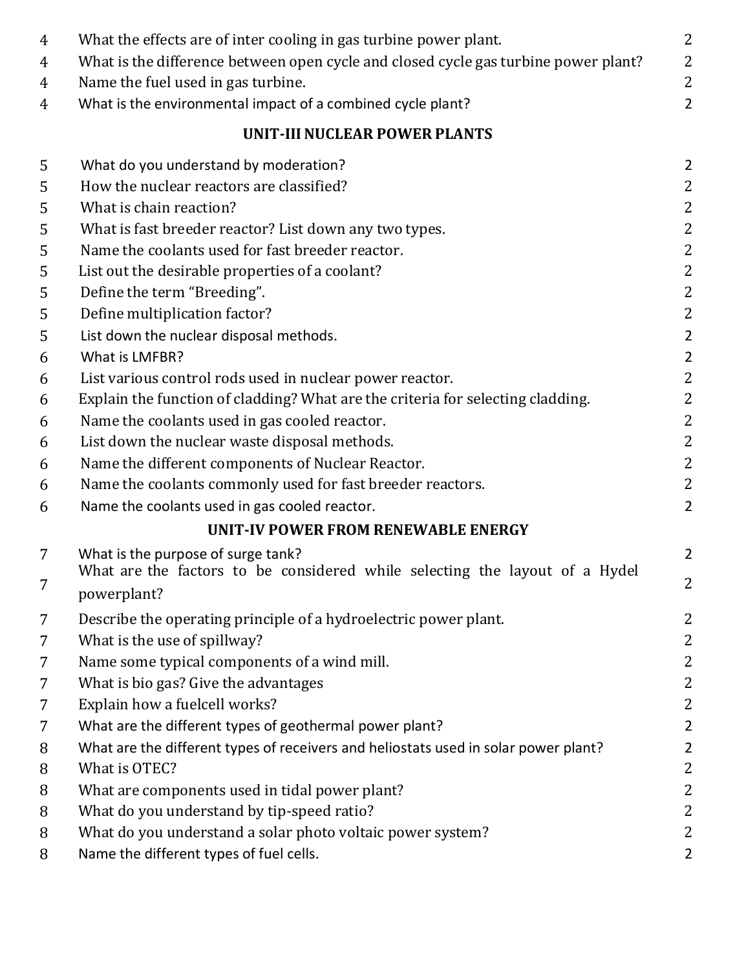| 4      | What the effects are of inter cooling in gas turbine power plant.                                 | $\overline{2}$                   |
|--------|---------------------------------------------------------------------------------------------------|----------------------------------|
| 4      | What is the difference between open cycle and closed cycle gas turbine power plant?               | $\overline{2}$<br>$\overline{2}$ |
| 4<br>4 | Name the fuel used in gas turbine.<br>What is the environmental impact of a combined cycle plant? | $\overline{2}$                   |
|        | <b>UNIT-III NUCLEAR POWER PLANTS</b>                                                              |                                  |
|        |                                                                                                   |                                  |
| 5      | What do you understand by moderation?                                                             | $\overline{2}$                   |
| 5      | How the nuclear reactors are classified?                                                          | 2                                |
| 5      | What is chain reaction?                                                                           | $\overline{2}$                   |
| 5      | What is fast breeder reactor? List down any two types.                                            | $\overline{2}$                   |
| 5      | Name the coolants used for fast breeder reactor.                                                  | 2                                |
| 5      | List out the desirable properties of a coolant?                                                   | $\overline{2}$                   |
| 5      | Define the term "Breeding".                                                                       | $\overline{2}$                   |
| 5      | Define multiplication factor?                                                                     | $\overline{2}$                   |
| 5      | List down the nuclear disposal methods.                                                           | $\overline{2}$                   |
| 6      | What is LMFBR?                                                                                    | $\overline{2}$                   |
| 6      | List various control rods used in nuclear power reactor.                                          | $\overline{2}$                   |
| 6      | Explain the function of cladding? What are the criteria for selecting cladding.                   | 2                                |
| 6      | Name the coolants used in gas cooled reactor.                                                     | $\overline{2}$                   |
| 6      | List down the nuclear waste disposal methods.                                                     | $\overline{2}$                   |
| 6      | Name the different components of Nuclear Reactor.                                                 | $\mathbf{2}$                     |
| 6      | Name the coolants commonly used for fast breeder reactors.                                        | $\overline{2}$                   |
| 6      | Name the coolants used in gas cooled reactor.                                                     | $\overline{2}$                   |
|        | UNIT-IV POWER FROM RENEWABLE ENERGY                                                               |                                  |
| 7      | What is the purpose of surge tank?                                                                | $\overline{2}$                   |
| 7      | What are the factors to be considered while selecting the layout of a Hydel                       | $\overline{2}$                   |
|        | powerplant?                                                                                       |                                  |
| 7      | Describe the operating principle of a hydroelectric power plant.                                  | Z                                |
| 7      | What is the use of spillway?                                                                      | 2                                |
| 7      | Name some typical components of a wind mill.                                                      | 2                                |
| 7      | What is bio gas? Give the advantages                                                              | $\overline{2}$                   |
| 7      | Explain how a fuelcell works?                                                                     | 2                                |
| 7      | What are the different types of geothermal power plant?                                           | $\overline{2}$                   |
| 8      | What are the different types of receivers and heliostats used in solar power plant?               | $\overline{2}$                   |
| 8      | What is OTEC?                                                                                     | 2                                |
| 8      | What are components used in tidal power plant?                                                    | 2                                |
| 8      | What do you understand by tip-speed ratio?                                                        | 2                                |
| 8      | What do you understand a solar photo voltaic power system?                                        | $\overline{2}$                   |
| 8      | Name the different types of fuel cells.                                                           | $\overline{2}$                   |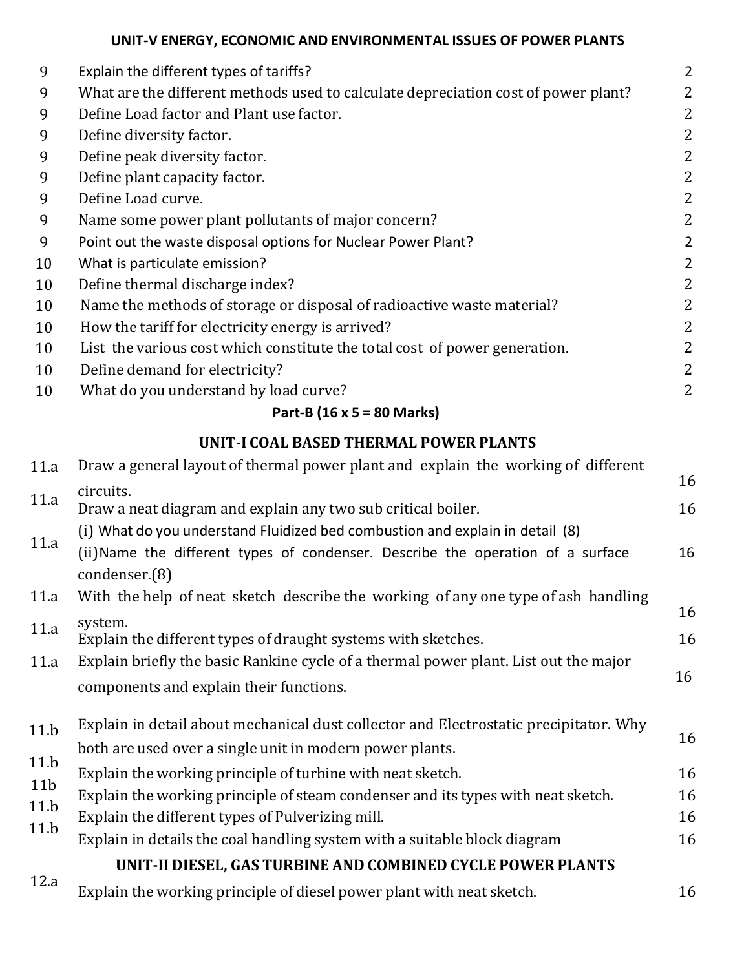## **UNIT-V ENERGY, ECONOMIC AND ENVIRONMENTAL ISSUES OF POWER PLANTS**

| 9  | Explain the different types of tariffs?                                            | $\overline{2}$ |
|----|------------------------------------------------------------------------------------|----------------|
| 9  | What are the different methods used to calculate depreciation cost of power plant? | 2              |
| 9  | Define Load factor and Plant use factor.                                           | 2              |
| 9  | Define diversity factor.                                                           | 2              |
| 9  | Define peak diversity factor.                                                      | 2              |
| 9  | Define plant capacity factor.                                                      | 2              |
| 9  | Define Load curve.                                                                 | 2              |
| 9  | Name some power plant pollutants of major concern?                                 | 2              |
| 9  | Point out the waste disposal options for Nuclear Power Plant?                      | $\overline{2}$ |
| 10 | What is particulate emission?                                                      | 2              |
| 10 | Define thermal discharge index?                                                    | 2              |
| 10 | Name the methods of storage or disposal of radioactive waste material?             | 2              |
| 10 | How the tariff for electricity energy is arrived?                                  | 2              |
| 10 | List the various cost which constitute the total cost of power generation.         | 2              |
| 10 | Define demand for electricity?                                                     | 2              |
| 10 | What do you understand by load curve?                                              | 2              |
|    |                                                                                    |                |

#### **Part-B (16 x 5 = 80 Marks)**

### **UNIT-I COAL BASED THERMAL POWER PLANTS**

| Draw a general layout of thermal power plant and explain the working of different     |                                                                                                                                                                                                                                  |  |
|---------------------------------------------------------------------------------------|----------------------------------------------------------------------------------------------------------------------------------------------------------------------------------------------------------------------------------|--|
| circuits.                                                                             | 16                                                                                                                                                                                                                               |  |
|                                                                                       | 16                                                                                                                                                                                                                               |  |
|                                                                                       |                                                                                                                                                                                                                                  |  |
| condenser.(8)                                                                         | 16                                                                                                                                                                                                                               |  |
| With the help of neat sketch describe the working of any one type of ash handling     |                                                                                                                                                                                                                                  |  |
| system.                                                                               | 16                                                                                                                                                                                                                               |  |
| Explain the different types of draught systems with sketches.                         | 16                                                                                                                                                                                                                               |  |
| Explain briefly the basic Rankine cycle of a thermal power plant. List out the major  |                                                                                                                                                                                                                                  |  |
| components and explain their functions.                                               | 16                                                                                                                                                                                                                               |  |
| Explain in detail about mechanical dust collector and Electrostatic precipitator. Why |                                                                                                                                                                                                                                  |  |
| both are used over a single unit in modern power plants.                              | 16                                                                                                                                                                                                                               |  |
| Explain the working principle of turbine with neat sketch.                            | 16                                                                                                                                                                                                                               |  |
| Explain the working principle of steam condenser and its types with neat sketch.      | 16                                                                                                                                                                                                                               |  |
| Explain the different types of Pulverizing mill.                                      | 16                                                                                                                                                                                                                               |  |
| Explain in details the coal handling system with a suitable block diagram             | 16                                                                                                                                                                                                                               |  |
| UNIT-II DIESEL, GAS TURBINE AND COMBINED CYCLE POWER PLANTS                           |                                                                                                                                                                                                                                  |  |
| Explain the working principle of diesel power plant with neat sketch.                 | 16                                                                                                                                                                                                                               |  |
|                                                                                       | Draw a neat diagram and explain any two sub critical boiler.<br>(i) What do you understand Fluidized bed combustion and explain in detail (8)<br>(ii) Name the different types of condenser. Describe the operation of a surface |  |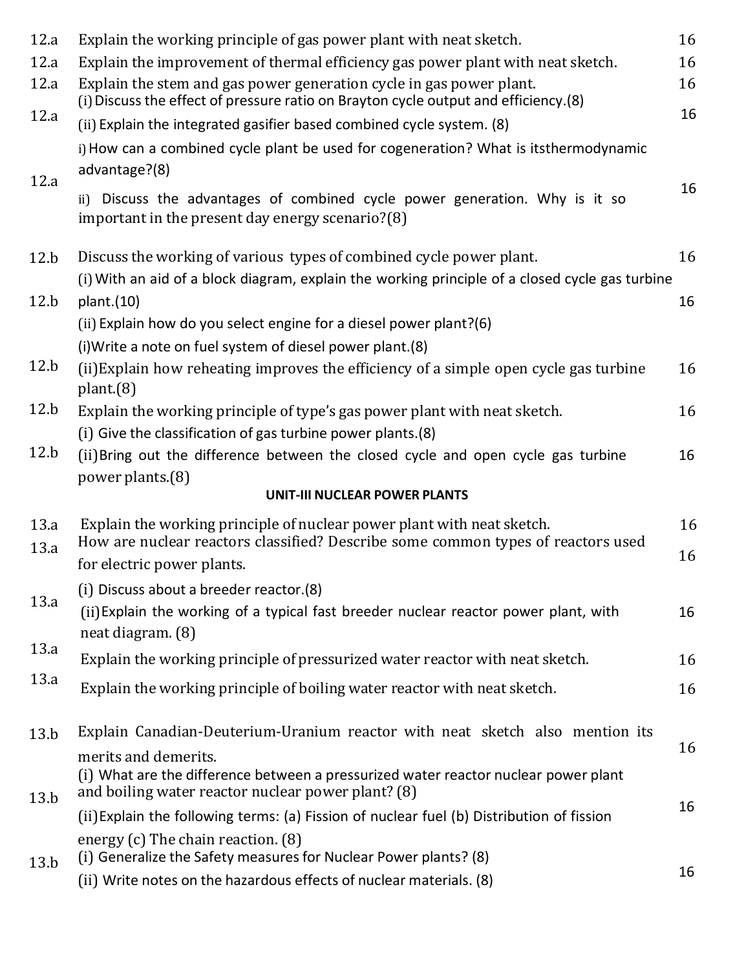| 12.a | Explain the working principle of gas power plant with neat sketch.                                                                                         | 16       |  |  |  |
|------|------------------------------------------------------------------------------------------------------------------------------------------------------------|----------|--|--|--|
| 12.a | Explain the improvement of thermal efficiency gas power plant with neat sketch.                                                                            | 16       |  |  |  |
| 12.a | Explain the stem and gas power generation cycle in gas power plant.<br>(i) Discuss the effect of pressure ratio on Brayton cycle output and efficiency.(8) | 16<br>16 |  |  |  |
| 12.a | (ii) Explain the integrated gasifier based combined cycle system. (8)                                                                                      |          |  |  |  |
|      | i) How can a combined cycle plant be used for cogeneration? What is itsthermodynamic<br>advantage?(8)                                                      |          |  |  |  |
| 12.a | ii) Discuss the advantages of combined cycle power generation. Why is it so<br>important in the present day energy scenario?(8)                            | 16       |  |  |  |
| 12.b | Discuss the working of various types of combined cycle power plant.                                                                                        | 16       |  |  |  |
| 12.b | (i) With an aid of a block diagram, explain the working principle of a closed cycle gas turbine<br>plant.(10)                                              | 16       |  |  |  |
|      | (ii) Explain how do you select engine for a diesel power plant?(6)                                                                                         |          |  |  |  |
|      | (i) Write a note on fuel system of diesel power plant. (8)                                                                                                 |          |  |  |  |
| 12.b | (ii) Explain how reheating improves the efficiency of a simple open cycle gas turbine<br>plant(8)                                                          | 16       |  |  |  |
| 12.b | Explain the working principle of type's gas power plant with neat sketch.                                                                                  | 16       |  |  |  |
|      | (i) Give the classification of gas turbine power plants.(8)                                                                                                |          |  |  |  |
| 12.b | (ii) Bring out the difference between the closed cycle and open cycle gas turbine<br>power plants.(8)                                                      | 16       |  |  |  |
|      | <b>UNIT-III NUCLEAR POWER PLANTS</b>                                                                                                                       |          |  |  |  |
| 13.a | Explain the working principle of nuclear power plant with neat sketch.                                                                                     | 16       |  |  |  |
| 13.a | How are nuclear reactors classified? Describe some common types of reactors used                                                                           | 16       |  |  |  |
|      | for electric power plants.                                                                                                                                 |          |  |  |  |
| 13.a | (i) Discuss about a breeder reactor.(8)                                                                                                                    |          |  |  |  |
|      | (ii) Explain the working of a typical fast breeder nuclear reactor power plant, with<br>neat diagram. (8)                                                  | 16       |  |  |  |
| 13.a | Explain the working principle of pressurized water reactor with neat sketch.                                                                               | 16       |  |  |  |
| 13.a | Explain the working principle of boiling water reactor with neat sketch.                                                                                   | 16       |  |  |  |
| 13.b | Explain Canadian-Deuterium-Uranium reactor with neat sketch also mention its                                                                               |          |  |  |  |
|      | merits and demerits.                                                                                                                                       | 16       |  |  |  |
| 13.b | (i) What are the difference between a pressurized water reactor nuclear power plant<br>and boiling water reactor nuclear power plant? (8)                  |          |  |  |  |
|      | (ii) Explain the following terms: (a) Fission of nuclear fuel (b) Distribution of fission                                                                  | 16       |  |  |  |
| 13.b | energy $(c)$ The chain reaction. $(8)$<br>(i) Generalize the Safety measures for Nuclear Power plants? (8)                                                 |          |  |  |  |
|      | (ii) Write notes on the hazardous effects of nuclear materials. (8)                                                                                        | 16       |  |  |  |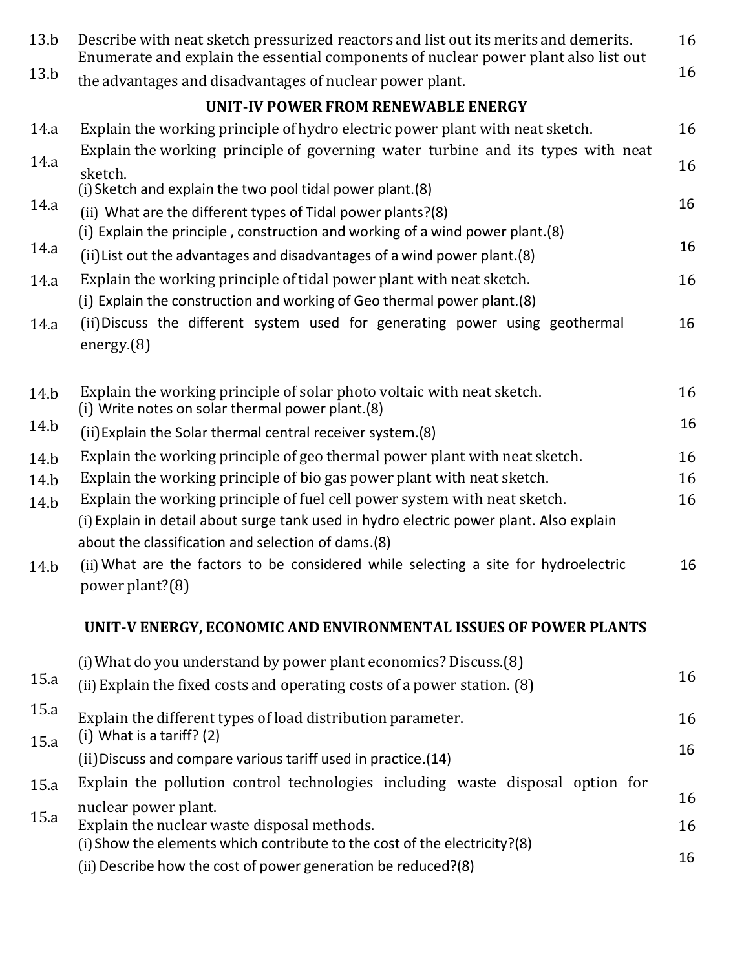| 13.b | Describe with neat sketch pressurized reactors and list out its merits and demerits.<br>Enumerate and explain the essential components of nuclear power plant also list out |    |  |  |  |  |
|------|-----------------------------------------------------------------------------------------------------------------------------------------------------------------------------|----|--|--|--|--|
| 13.b | the advantages and disadvantages of nuclear power plant.                                                                                                                    | 16 |  |  |  |  |
|      | UNIT-IV POWER FROM RENEWABLE ENERGY                                                                                                                                         |    |  |  |  |  |
| 14.a | Explain the working principle of hydro electric power plant with neat sketch.                                                                                               | 16 |  |  |  |  |
| 14.a | Explain the working principle of governing water turbine and its types with neat<br>sketch.                                                                                 | 16 |  |  |  |  |
|      | (i) Sketch and explain the two pool tidal power plant.(8)                                                                                                                   |    |  |  |  |  |
| 14.a | (ii) What are the different types of Tidal power plants?(8)<br>(i) Explain the principle, construction and working of a wind power plant.(8)                                | 16 |  |  |  |  |
| 14.a | (ii) List out the advantages and disadvantages of a wind power plant. (8)                                                                                                   | 16 |  |  |  |  |
| 14.a | Explain the working principle of tidal power plant with neat sketch.<br>(i) Explain the construction and working of Geo thermal power plant.(8)                             |    |  |  |  |  |
| 14.a | (ii) Discuss the different system used for generating power using geothermal<br>energy(8)                                                                                   | 16 |  |  |  |  |
| 14.b | Explain the working principle of solar photo voltaic with neat sketch.<br>(i) Write notes on solar thermal power plant.(8)                                                  | 16 |  |  |  |  |
| 14.b | (ii) Explain the Solar thermal central receiver system.(8)                                                                                                                  | 16 |  |  |  |  |
| 14.b | Explain the working principle of geo thermal power plant with neat sketch.                                                                                                  | 16 |  |  |  |  |
| 14.b | Explain the working principle of bio gas power plant with neat sketch.                                                                                                      | 16 |  |  |  |  |
| 14.b | Explain the working principle of fuel cell power system with neat sketch.                                                                                                   | 16 |  |  |  |  |
|      | (i) Explain in detail about surge tank used in hydro electric power plant. Also explain<br>about the classification and selection of dams.(8)                               |    |  |  |  |  |
| 14.b | (ii) What are the factors to be considered while selecting a site for hydroelectric<br>power plant?(8)                                                                      | 16 |  |  |  |  |
|      | UNIT-V ENERGY, ECONOMIC AND ENVIRONMENTAL ISSUES OF POWER PLANTS                                                                                                            |    |  |  |  |  |
|      | (i) What do you understand by power plant economics? Discuss. (8)                                                                                                           |    |  |  |  |  |
| 15.a | (ii) Explain the fixed costs and operating costs of a power station. (8)                                                                                                    | 16 |  |  |  |  |
| 15.a | Explain the different types of load distribution parameter.                                                                                                                 | 16 |  |  |  |  |
| 15.a | $(i)$ What is a tariff? $(2)$                                                                                                                                               |    |  |  |  |  |
|      | (ii) Discuss and compare various tariff used in practice.(14)                                                                                                               | 16 |  |  |  |  |
| 15.a | Explain the pollution control technologies including waste disposal option for                                                                                              |    |  |  |  |  |
| 15.a | nuclear power plant.                                                                                                                                                        | 16 |  |  |  |  |
|      | Explain the nuclear waste disposal methods.<br>(i) Show the elements which contribute to the cost of the electricity?(8)                                                    | 16 |  |  |  |  |
|      | (ii) Describe how the cost of power generation be reduced?(8)                                                                                                               | 16 |  |  |  |  |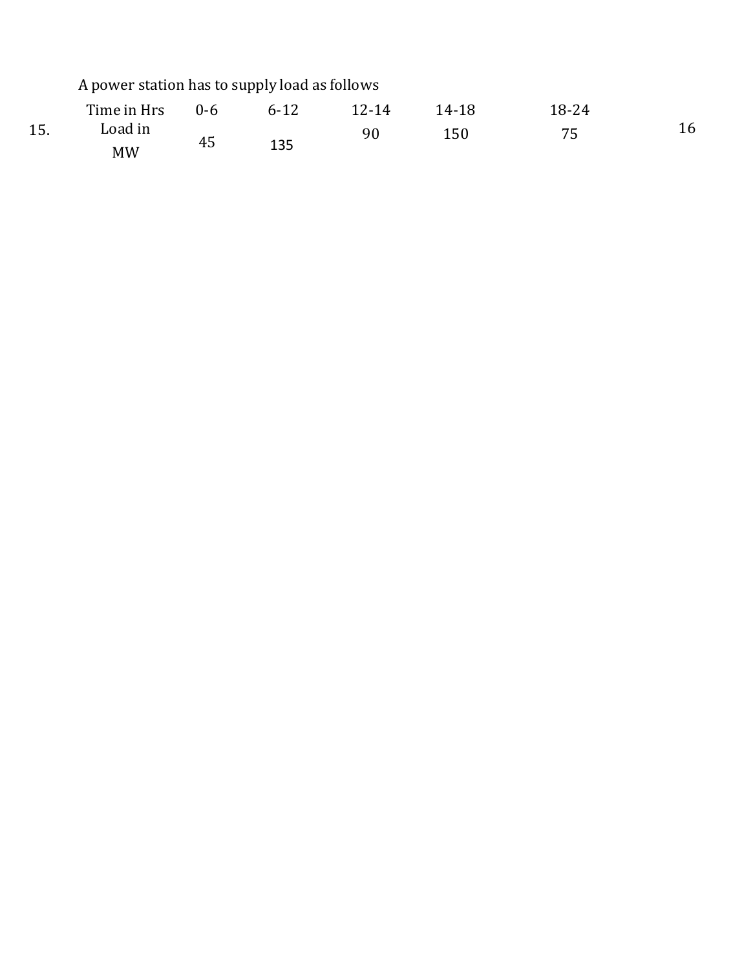|     | A power station has to supply load as follows |         |          |           |       |       |    |
|-----|-----------------------------------------------|---------|----------|-----------|-------|-------|----|
|     | Time in Hrs                                   | $0 - 6$ | $6 - 12$ | $12 - 14$ | 14-18 | 18-24 |    |
| 15. | Load in<br>MW                                 | 45      | 135      | -90-      | 150   | 75    | 16 |